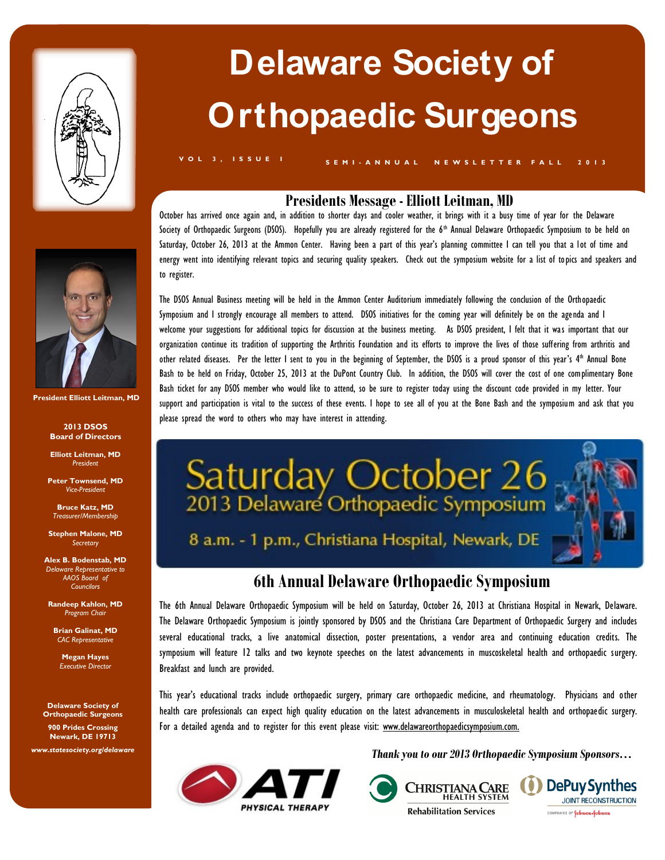



**S E M I - A N N U A L N E W S L E T T E R F A L L 2 0 1 3 V O L 3 , I S S U E I**

## **Presidents Message - Elliott Leitman, MD**

October has arrived once again and, in addition to shorter days and cooler weather, it brings with it a busy time of year for the Delaware Society of Orthopaedic Surgeons (DSOS). Hopefully you are already registered for the 6<sup>th</sup> Annual Delaware Orthopaedic Symposium to be held on Saturday, October 26, 2013 at the Ammon Center. Having been a part of this year's planning committee I can tell you that a lot of time and energy went into identifying relevant topics and securing quality speakers. Check out the symposium website for a list of topics and speakers and to register.

The DSOS Annual Business meeting will be held in the Ammon Center Auditorium immediately following the conclusion of the Orthopaedic Symposium and I strongly encourage all members to attend. DSOS initiatives for the coming year will definitely be on the agenda and I welcome your suggestions for additional topics for discussion at the business meeting. As DSOS president, I felt that it was important that our organization continue its tradition of supporting the Arthritis Foundation and its efforts to improve the lives of those suffering from arthritis and other related diseases. Per the letter I sent to you in the beginning of September, the DSOS is a proud sponsor of this year's 4 th Annual Bone Bash to be held on Friday, October 25, 2013 at the DuPont Country Club. In addition, the DSOS will cover the cost of one complimentary Bone Bash ticket for any DSOS member who would like to attend, so be sure to register today using the discount code provided in my letter. Your support and participation is vital to the success of these events. I hope to see all of you at the Bone Bash and the symposium and ask that you please spread the word to others who may have interest in attending.



## **6th Annual Delaware Orthopaedic Symposium**

The 6th Annual Delaware Orthopaedic Symposium will be held on Saturday, October 26, 2013 at Christiana Hospital in Newark, Delaware. The Delaware Orthopaedic Symposium is jointly sponsored by DSOS and the Christiana Care Department of Orthopaedic Surgery and includes several educational tracks, a live anatomical dissection, poster presentations, a vendor area and continuing education credits. The symposium will feature 12 talks and two keynote speeches on the latest advancements in muscoskeletal health and orthopaedic surgery. Breakfast and lunch are provided.

This year's educational tracks include orthopaedic surgery, primary care orthopaedic medicine, and rheumatology. Physicians and other health care professionals can expect high quality education on the latest advancements in musculoskeletal health and orthopaedic surgery. For a detailed agenda and to register for this event please visit: www.delawareorthopaedicsymposium.com.



*Thank you to our 2013 Orthopaedic Symposium Sponsors…*







**President Elliott Leitman, MD**

**2013 DSOS Board of Directors**

**Elliott Leitman, MD** *President*

**Peter Townsend, MD** *Vice-President*

**Bruce Katz, MD** *Treasurer/Membership*

**Stephen Malone, MD** *Secretary*

**Alex B. Bodenstab, MD** *Delaware Representative to AAOS Board of Councilors*

**Randeep Kahlon, MD** *Program Chair*

**Brian Galinat, MD** *CAC Representative*

**Megan Hayes** *Executive Director*

**Delaware Society of Orthopaedic Surgeons**

**900 Prides Crossing Newark, DE 19713**

*www.statesociety.org/delaware*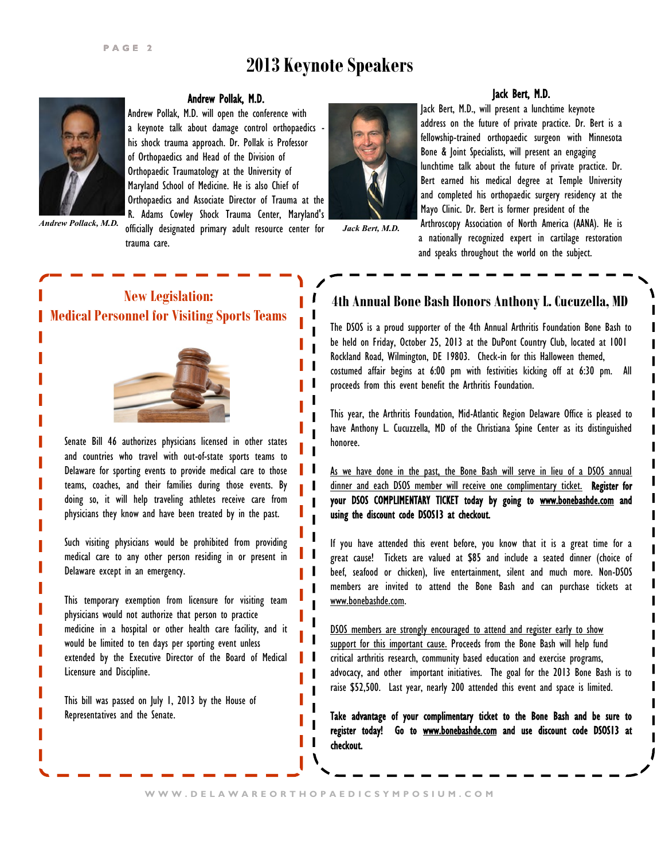# **2013 Keynote Speakers**



#### Andrew Pollak, M.D.

Andrew Pollak, M.D. will open the conference with a keynote talk about damage control orthopaedics his shock trauma approach. Dr. Pollak is Professor of Orthopaedics and Head of the Division of Orthopaedic Traumatology at the University of Maryland School of Medicine. He is also Chief of Orthopaedics and Associate Director of Trauma at the R. Adams Cowley Shock Trauma Center, Maryland's

officially designated primary adult resource center for  *Andrew Pollack, M.D. Jack Bert, M.D.* trauma care.



#### Jack Bert, M.D.

Jack Bert, M.D., will present a lunchtime keynote address on the future of private practice. Dr. Bert is a fellowship-trained orthopaedic surgeon with Minnesota Bone & Joint Specialists, will present an engaging lunchtime talk about the future of private practice. Dr. Bert earned his medical degree at Temple University and completed his orthopaedic surgery residency at the Mayo Clinic. Dr. Bert is former president of the Arthroscopy Association of North America (AANA). He is

a nationally recognized expert in cartilage restoration and speaks throughout the world on the subject.





Senate Bill 46 authorizes physicians licensed in other states and countries who travel with out-of-state sports teams to Delaware for sporting events to provide medical care to those teams, coaches, and their families during those events. By doing so, it will help traveling athletes receive care from physicians they know and have been treated by in the past.

Such visiting physicians would be prohibited from providing medical care to any other person residing in or present in Delaware except in an emergency.

This temporary exemption from licensure for visiting team physicians would not authorize that person to practice medicine in a hospital or other health care facility, and it would be limited to ten days per sporting event unless extended by the Executive Director of the Board of Medical Licensure and Discipline.

This bill was passed on July 1, 2013 by the House of Representatives and the Senate.

## **4th Annual Bone Bash Honors Anthony L. Cucuzella, MD**

The DSOS is a proud supporter of the 4th Annual Arthritis Foundation Bone Bash to be held on Friday, October 25, 2013 at the DuPont Country Club, located at 1001 Rockland Road, Wilmington, DE 19803. Check-in for this Halloween themed, costumed affair begins at 6:00 pm with festivities kicking off at 6:30 pm. All proceeds from this event benefit the Arthritis Foundation.

This year, the Arthritis Foundation, Mid-Atlantic Region Delaware Office is pleased to have Anthony L. Cucuzzella, MD of the Christiana Spine Center as its distinguished honoree.

As we have done in the past, the Bone Bash will serve in lieu of a DSOS annual dinner and each DSOS member will receive one complimentary ticket. Register for your DSOS COMPLIMENTARY TICKET today by going to [www.bonebashde.com a](http://www.bonebashde.com)nd using the discount code DSOS13 at checkout.

If you have attended this event before, you know that it is a great time for a great cause! Tickets are valued at \$85 and include a seated dinner (choice of beef, seafood or chicken), live entertainment, silent and much more. Non-DSOS members are invited to attend the Bone Bash and can purchase tickets at [www.bonebashde.com.](http://www.bonebashde.com)

DSOS members are strongly encouraged to attend and register early to show support for this important cause. Proceeds from the Bone Bash will help fund critical arthritis research, community based education and exercise programs, advocacy, and other important initiatives. The goal for the 2013 Bone Bash is to raise \$52,500. Last year, nearly 200 attended this event and space is limited.

Take advantage of your complimentary ticket to the Bone Bash and be sure to register today! Go to [www.bonebashde.com](http://www.bonebashde.com) and use discount code DSOS13 at checkout.